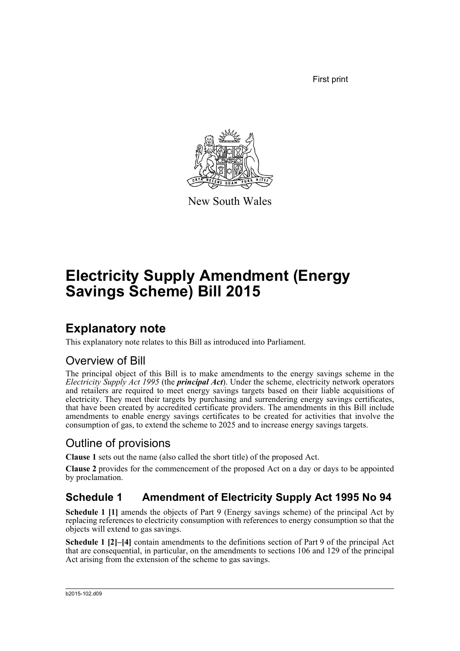First print



New South Wales

# **Electricity Supply Amendment (Energy Savings Scheme) Bill 2015**

### **Explanatory note**

This explanatory note relates to this Bill as introduced into Parliament.

#### Overview of Bill

The principal object of this Bill is to make amendments to the energy savings scheme in the *Electricity Supply Act 1995* (the *principal Act*). Under the scheme, electricity network operators and retailers are required to meet energy savings targets based on their liable acquisitions of electricity. They meet their targets by purchasing and surrendering energy savings certificates, that have been created by accredited certificate providers. The amendments in this Bill include amendments to enable energy savings certificates to be created for activities that involve the consumption of gas, to extend the scheme to 2025 and to increase energy savings targets.

### Outline of provisions

**Clause 1** sets out the name (also called the short title) of the proposed Act.

**Clause 2** provides for the commencement of the proposed Act on a day or days to be appointed by proclamation.

#### **Schedule 1 Amendment of Electricity Supply Act 1995 No 94**

**Schedule 1 [1]** amends the objects of Part 9 (Energy savings scheme) of the principal Act by replacing references to electricity consumption with references to energy consumption so that the objects will extend to gas savings.

**Schedule 1 [2]–[4]** contain amendments to the definitions section of Part 9 of the principal Act that are consequential, in particular, on the amendments to sections 106 and 129 of the principal Act arising from the extension of the scheme to gas savings.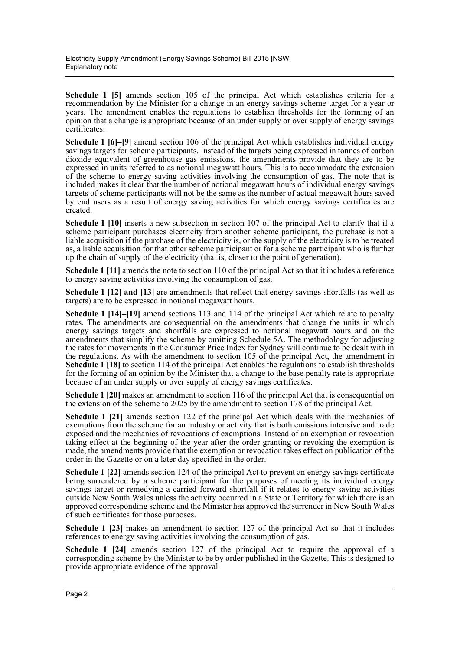**Schedule 1 [5]** amends section 105 of the principal Act which establishes criteria for a recommendation by the Minister for a change in an energy savings scheme target for a year or years. The amendment enables the regulations to establish thresholds for the forming of an opinion that a change is appropriate because of an under supply or over supply of energy savings certificates.

**Schedule 1 [6]–[9]** amend section 106 of the principal Act which establishes individual energy savings targets for scheme participants. Instead of the targets being expressed in tonnes of carbon dioxide equivalent of greenhouse gas emissions, the amendments provide that they are to be expressed in units referred to as notional megawatt hours. This is to accommodate the extension of the scheme to energy saving activities involving the consumption of gas. The note that is included makes it clear that the number of notional megawatt hours of individual energy savings targets of scheme participants will not be the same as the number of actual megawatt hours saved by end users as a result of energy saving activities for which energy savings certificates are created.

**Schedule 1 [10]** inserts a new subsection in section 107 of the principal Act to clarify that if a scheme participant purchases electricity from another scheme participant, the purchase is not a liable acquisition if the purchase of the electricity is, or the supply of the electricity is to be treated as, a liable acquisition for that other scheme participant or for a scheme participant who is further up the chain of supply of the electricity (that is, closer to the point of generation).

**Schedule 1 [11]** amends the note to section 110 of the principal Act so that it includes a reference to energy saving activities involving the consumption of gas.

**Schedule 1 [12] and [13]** are amendments that reflect that energy savings shortfalls (as well as targets) are to be expressed in notional megawatt hours.

**Schedule 1 [14]–[19]** amend sections 113 and 114 of the principal Act which relate to penalty rates. The amendments are consequential on the amendments that change the units in which energy savings targets and shortfalls are expressed to notional megawatt hours and on the amendments that simplify the scheme by omitting Schedule 5A. The methodology for adjusting the rates for movements in the Consumer Price Index for Sydney will continue to be dealt with in the regulations. As with the amendment to section 105 of the principal Act, the amendment in **Schedule 1 [18]** to section 114 of the principal Act enables the regulations to establish thresholds for the forming of an opinion by the Minister that a change to the base penalty rate is appropriate because of an under supply or over supply of energy savings certificates.

**Schedule 1 [20]** makes an amendment to section 116 of the principal Act that is consequential on the extension of the scheme to 2025 by the amendment to section 178 of the principal Act.

**Schedule 1 [21]** amends section 122 of the principal Act which deals with the mechanics of exemptions from the scheme for an industry or activity that is both emissions intensive and trade exposed and the mechanics of revocations of exemptions. Instead of an exemption or revocation taking effect at the beginning of the year after the order granting or revoking the exemption is made, the amendments provide that the exemption or revocation takes effect on publication of the order in the Gazette or on a later day specified in the order.

**Schedule 1 [22]** amends section 124 of the principal Act to prevent an energy savings certificate being surrendered by a scheme participant for the purposes of meeting its individual energy savings target or remedying a carried forward shortfall if it relates to energy saving activities outside New South Wales unless the activity occurred in a State or Territory for which there is an approved corresponding scheme and the Minister has approved the surrender in New South Wales of such certificates for those purposes.

**Schedule 1 [23]** makes an amendment to section 127 of the principal Act so that it includes references to energy saving activities involving the consumption of gas.

**Schedule 1 [24]** amends section 127 of the principal Act to require the approval of a corresponding scheme by the Minister to be by order published in the Gazette. This is designed to provide appropriate evidence of the approval.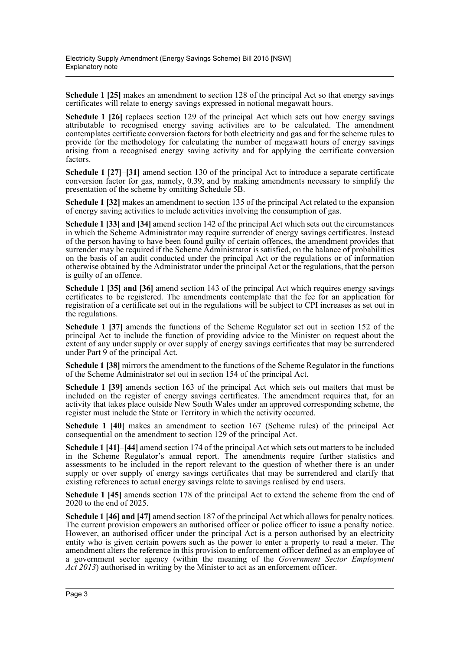**Schedule 1 [25]** makes an amendment to section 128 of the principal Act so that energy savings certificates will relate to energy savings expressed in notional megawatt hours.

**Schedule 1 [26]** replaces section 129 of the principal Act which sets out how energy savings attributable to recognised energy saving activities are to be calculated. The amendment contemplates certificate conversion factors for both electricity and gas and for the scheme rules to provide for the methodology for calculating the number of megawatt hours of energy savings arising from a recognised energy saving activity and for applying the certificate conversion factors.

**Schedule 1 [27]–[31]** amend section 130 of the principal Act to introduce a separate certificate conversion factor for gas, namely, 0.39, and by making amendments necessary to simplify the presentation of the scheme by omitting Schedule 5B.

**Schedule 1 [32]** makes an amendment to section 135 of the principal Act related to the expansion of energy saving activities to include activities involving the consumption of gas.

**Schedule 1 [33] and [34]** amend section 142 of the principal Act which sets out the circumstances in which the Scheme Administrator may require surrender of energy savings certificates. Instead of the person having to have been found guilty of certain offences, the amendment provides that surrender may be required if the Scheme Administrator is satisfied, on the balance of probabilities on the basis of an audit conducted under the principal Act or the regulations or of information otherwise obtained by the Administrator under the principal Act or the regulations, that the person is guilty of an offence.

**Schedule 1 [35] and [36]** amend section 143 of the principal Act which requires energy savings certificates to be registered. The amendments contemplate that the fee for an application for registration of a certificate set out in the regulations will be subject to CPI increases as set out in the regulations.

**Schedule 1 [37]** amends the functions of the Scheme Regulator set out in section 152 of the principal Act to include the function of providing advice to the Minister on request about the extent of any under supply or over supply of energy savings certificates that may be surrendered under Part 9 of the principal Act.

**Schedule 1 [38]** mirrors the amendment to the functions of the Scheme Regulator in the functions of the Scheme Administrator set out in section 154 of the principal Act.

**Schedule 1 [39]** amends section 163 of the principal Act which sets out matters that must be included on the register of energy savings certificates. The amendment requires that, for an activity that takes place outside New South Wales under an approved corresponding scheme, the register must include the State or Territory in which the activity occurred.

**Schedule 1 [40]** makes an amendment to section 167 (Scheme rules) of the principal Act consequential on the amendment to section 129 of the principal Act.

**Schedule 1 [41]–[44]** amend section 174 of the principal Act which sets out matters to be included in the Scheme Regulator's annual report. The amendments require further statistics and assessments to be included in the report relevant to the question of whether there is an under supply or over supply of energy savings certificates that may be surrendered and clarify that existing references to actual energy savings relate to savings realised by end users.

**Schedule 1 [45]** amends section 178 of the principal Act to extend the scheme from the end of 2020 to the end of 2025.

**Schedule 1 [46] and [47]** amend section 187 of the principal Act which allows for penalty notices. The current provision empowers an authorised officer or police officer to issue a penalty notice. However, an authorised officer under the principal Act is a person authorised by an electricity entity who is given certain powers such as the power to enter a property to read a meter. The amendment alters the reference in this provision to enforcement officer defined as an employee of a government sector agency (within the meaning of the *Government Sector Employment* Act 2013) authorised in writing by the Minister to act as an enforcement officer.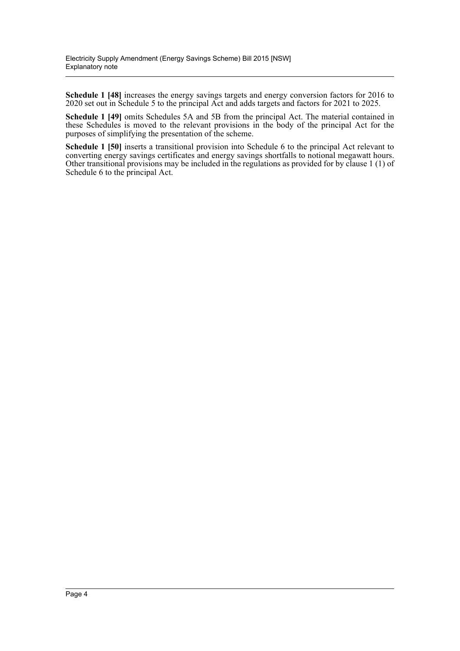**Schedule 1 [48]** increases the energy savings targets and energy conversion factors for 2016 to 2020 set out in Schedule 5 to the principal Act and adds targets and factors for 2021 to 2025.

**Schedule 1 [49]** omits Schedules 5A and 5B from the principal Act. The material contained in these Schedules is moved to the relevant provisions in the body of the principal Act for the purposes of simplifying the presentation of the scheme.

**Schedule 1 [50]** inserts a transitional provision into Schedule 6 to the principal Act relevant to converting energy savings certificates and energy savings shortfalls to notional megawatt hours. Other transitional provisions may be included in the regulations as provided for by clause 1 (1) of Schedule 6 to the principal Act.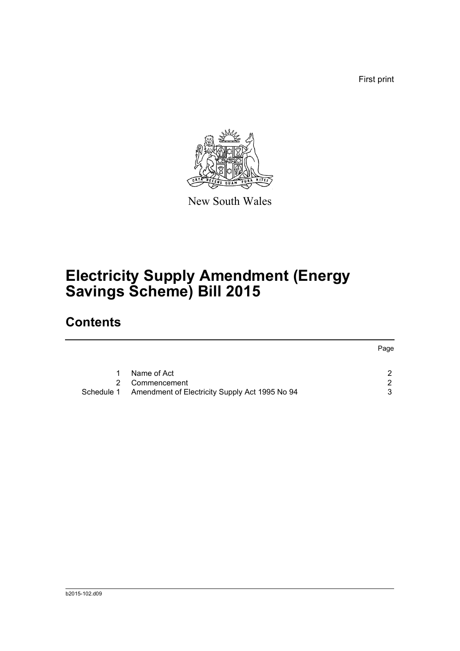First print



New South Wales

# **Electricity Supply Amendment (Energy Savings Scheme) Bill 2015**

### **Contents**

|    |                                                           | Page |
|----|-----------------------------------------------------------|------|
|    | Name of Act                                               | ົ    |
| 2. | Commencement                                              | ົ    |
|    | Schedule 1 Amendment of Electricity Supply Act 1995 No 94 | 3    |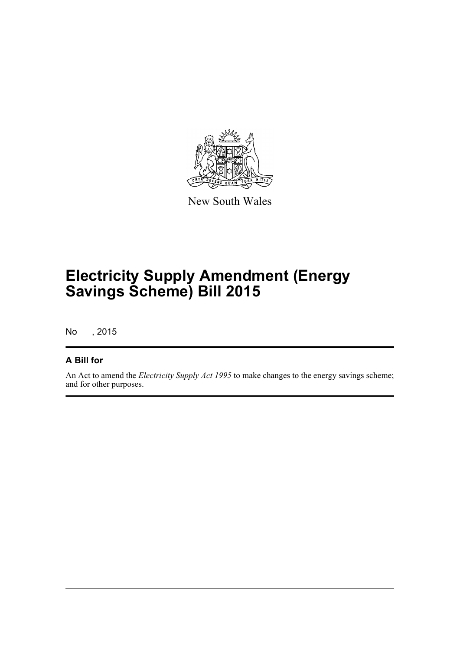

New South Wales

# **Electricity Supply Amendment (Energy Savings Scheme) Bill 2015**

No , 2015

#### **A Bill for**

An Act to amend the *Electricity Supply Act 1995* to make changes to the energy savings scheme; and for other purposes.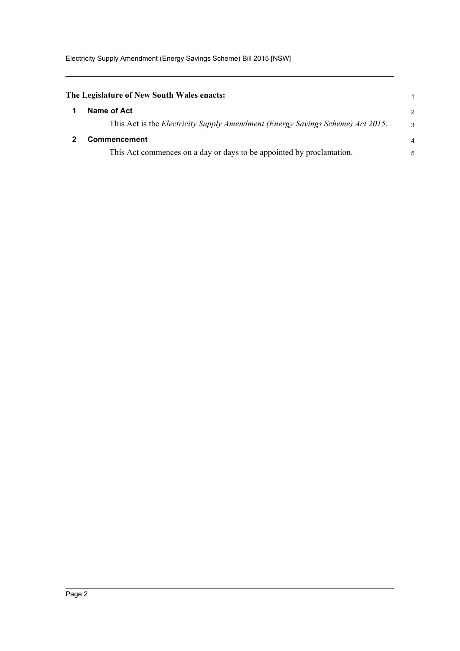<span id="page-6-1"></span><span id="page-6-0"></span>

| The Legislature of New South Wales enacts:                                                                    |                     |
|---------------------------------------------------------------------------------------------------------------|---------------------|
| Name of Act                                                                                                   | $\overline{2}$      |
| This Act is the <i>Electricity Supply Amendment (Energy Savings Scheme) Act 2015</i> .<br><b>Commencement</b> | 3<br>$\overline{4}$ |
| This Act commences on a day or days to be appointed by proclamation.                                          | 5                   |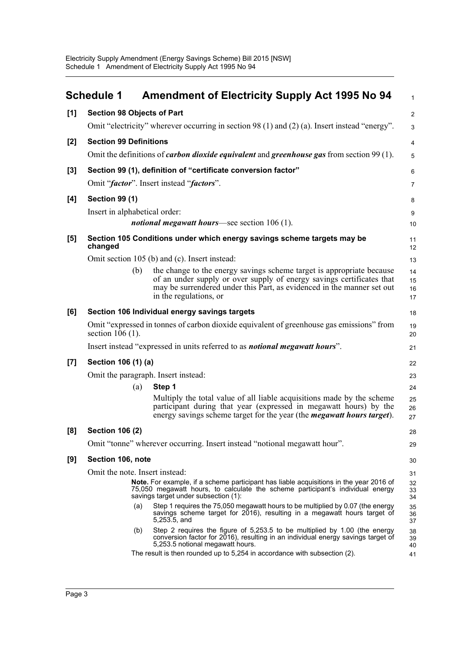<span id="page-7-0"></span>

|       | Schedule 1                        | <b>Amendment of Electricity Supply Act 1995 No 94</b>                                                                                                                                                                                              | $\mathbf{1}$         |  |  |  |  |
|-------|-----------------------------------|----------------------------------------------------------------------------------------------------------------------------------------------------------------------------------------------------------------------------------------------------|----------------------|--|--|--|--|
| [1]   | <b>Section 98 Objects of Part</b> |                                                                                                                                                                                                                                                    | $\overline{2}$       |  |  |  |  |
|       |                                   | Omit "electricity" wherever occurring in section 98 (1) and (2) (a). Insert instead "energy".                                                                                                                                                      | 3                    |  |  |  |  |
| [2]   | <b>Section 99 Definitions</b>     |                                                                                                                                                                                                                                                    | 4                    |  |  |  |  |
|       |                                   | Omit the definitions of <i>carbon dioxide equivalent</i> and <i>greenhouse gas</i> from section 99 (1).                                                                                                                                            | 5                    |  |  |  |  |
| [3]   |                                   | Section 99 (1), definition of "certificate conversion factor"                                                                                                                                                                                      | 6                    |  |  |  |  |
|       |                                   | Omit "factor". Insert instead "factors".                                                                                                                                                                                                           | 7                    |  |  |  |  |
| [4]   | <b>Section 99 (1)</b>             |                                                                                                                                                                                                                                                    | 8                    |  |  |  |  |
|       | Insert in alphabetical order:     |                                                                                                                                                                                                                                                    | 9                    |  |  |  |  |
|       |                                   | <i>notional megawatt hours</i> —see section 106 (1).                                                                                                                                                                                               | 10                   |  |  |  |  |
| [5]   | changed                           | Section 105 Conditions under which energy savings scheme targets may be                                                                                                                                                                            | 11<br>12             |  |  |  |  |
|       |                                   | Omit section 105 (b) and (c). Insert instead:                                                                                                                                                                                                      | 13                   |  |  |  |  |
|       | (b)                               | the change to the energy savings scheme target is appropriate because<br>of an under supply or over supply of energy savings certificates that<br>may be surrendered under this Part, as evidenced in the manner set out<br>in the regulations, or | 14<br>15<br>16<br>17 |  |  |  |  |
| [6]   |                                   | Section 106 Individual energy savings targets                                                                                                                                                                                                      | 18                   |  |  |  |  |
|       | section $106(1)$ .                | Omit "expressed in tonnes of carbon dioxide equivalent of greenhouse gas emissions" from                                                                                                                                                           | 19<br>20             |  |  |  |  |
|       |                                   | Insert instead "expressed in units referred to as <i>notional megawatt hours</i> ".                                                                                                                                                                | 21                   |  |  |  |  |
| $[7]$ | Section 106 (1) (a)               |                                                                                                                                                                                                                                                    | 22                   |  |  |  |  |
|       |                                   | Omit the paragraph. Insert instead:                                                                                                                                                                                                                | 23                   |  |  |  |  |
|       | (a)                               | Step 1                                                                                                                                                                                                                                             | 24                   |  |  |  |  |
|       |                                   | Multiply the total value of all liable acquisitions made by the scheme<br>participant during that year (expressed in megawatt hours) by the<br>energy savings scheme target for the year (the <i>megawatt hours target</i> ).                      | 25<br>26<br>27       |  |  |  |  |
| [8]   | <b>Section 106 (2)</b>            |                                                                                                                                                                                                                                                    | 28                   |  |  |  |  |
|       |                                   | Omit "tonne" wherever occurring. Insert instead "notional megawatt hour".                                                                                                                                                                          | 29                   |  |  |  |  |
| [9]   | Section 106, note                 |                                                                                                                                                                                                                                                    | 30                   |  |  |  |  |
|       |                                   | Omit the note. Insert instead:                                                                                                                                                                                                                     |                      |  |  |  |  |
|       |                                   | <b>Note.</b> For example, if a scheme participant has liable acquisitions in the year 2016 of<br>75,050 megawatt hours, to calculate the scheme participant's individual energy<br>savings target under subsection (1):                            | 32<br>33<br>34       |  |  |  |  |
|       | (a)                               | Step 1 requires the 75,050 megawatt hours to be multiplied by 0.07 (the energy<br>savings scheme target for 2016), resulting in a megawatt hours target of<br>5,253.5, and                                                                         | 35<br>36<br>37       |  |  |  |  |
|       | (b)                               | Step 2 requires the figure of 5,253.5 to be multiplied by 1.00 (the energy<br>conversion factor for 2016), resulting in an individual energy savings target of<br>5,253.5 notional megawatt hours.                                                 | 38<br>39<br>40       |  |  |  |  |
|       |                                   | The result is then rounded up to 5,254 in accordance with subsection (2).                                                                                                                                                                          | 41                   |  |  |  |  |
|       |                                   |                                                                                                                                                                                                                                                    |                      |  |  |  |  |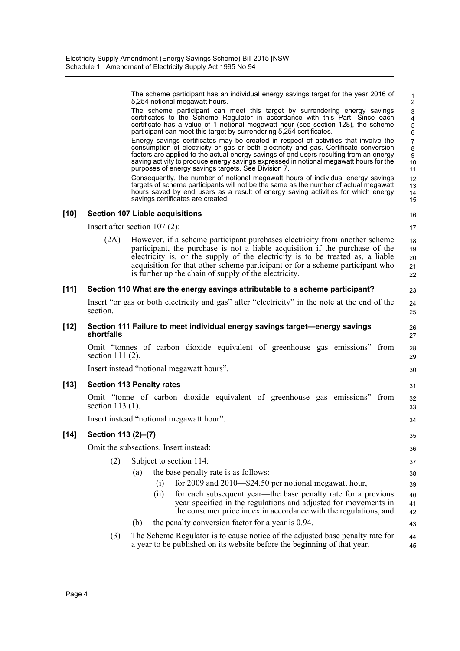|        |                     | The scheme participant has an individual energy savings target for the year 2016 of<br>5,254 notional megawatt hours.                                                                                                                                                                                                                                                                                                    | 1<br>$\overline{2}$                                              |
|--------|---------------------|--------------------------------------------------------------------------------------------------------------------------------------------------------------------------------------------------------------------------------------------------------------------------------------------------------------------------------------------------------------------------------------------------------------------------|------------------------------------------------------------------|
|        |                     | The scheme participant can meet this target by surrendering energy savings<br>certificates to the Scheme Regulator in accordance with this Part. Since each<br>certificate has a value of 1 notional megawatt hour (see section 128), the scheme<br>participant can meet this target by surrendering 5,254 certificates.                                                                                                 | $\mathsf 3$<br>$\overline{\mathbf{4}}$<br>$\mathbf 5$<br>$\,6\,$ |
|        |                     | Energy savings certificates may be created in respect of activities that involve the<br>consumption of electricity or gas or both electricity and gas. Certificate conversion<br>factors are applied to the actual energy savings of end users resulting from an energy<br>saving activity to produce energy savings expressed in notional megawatt hours for the<br>purposes of energy savings targets. See Division 7. | $\overline{7}$<br>$\bf 8$<br>9<br>10<br>11                       |
|        |                     | Consequently, the number of notional megawatt hours of individual energy savings<br>targets of scheme participants will not be the same as the number of actual megawatt<br>hours saved by end users as a result of energy saving activities for which energy<br>savings certificates are created.                                                                                                                       | 12<br>13<br>14<br>15                                             |
| [10]   |                     | <b>Section 107 Liable acquisitions</b>                                                                                                                                                                                                                                                                                                                                                                                   | 16                                                               |
|        |                     | Insert after section $107(2)$ :                                                                                                                                                                                                                                                                                                                                                                                          | 17                                                               |
|        | (2A)                | However, if a scheme participant purchases electricity from another scheme<br>participant, the purchase is not a liable acquisition if the purchase of the<br>electricity is, or the supply of the electricity is to be treated as, a liable<br>acquisition for that other scheme participant or for a scheme participant who<br>is further up the chain of supply of the electricity.                                   | 18<br>19<br>20<br>21<br>22                                       |
| [11]   |                     | Section 110 What are the energy savings attributable to a scheme participant?                                                                                                                                                                                                                                                                                                                                            | 23                                                               |
|        | section.            | Insert "or gas or both electricity and gas" after "electricity" in the note at the end of the                                                                                                                                                                                                                                                                                                                            | 24<br>25                                                         |
| [12]   | shortfalls          | Section 111 Failure to meet individual energy savings target-energy savings                                                                                                                                                                                                                                                                                                                                              | 26<br>27                                                         |
|        | section $111(2)$ .  | Omit "tonnes of carbon dioxide equivalent of greenhouse gas emissions" from                                                                                                                                                                                                                                                                                                                                              | 28<br>29                                                         |
|        |                     | Insert instead "notional megawatt hours".                                                                                                                                                                                                                                                                                                                                                                                | 30                                                               |
| [13]   |                     | <b>Section 113 Penalty rates</b>                                                                                                                                                                                                                                                                                                                                                                                         | 31                                                               |
|        | section $113(1)$ .  | Omit "tonne of carbon dioxide equivalent of greenhouse gas emissions" from                                                                                                                                                                                                                                                                                                                                               | 32<br>33                                                         |
|        |                     | Insert instead "notional megawatt hour".                                                                                                                                                                                                                                                                                                                                                                                 | 34                                                               |
| $[14]$ | Section 113 (2)-(7) |                                                                                                                                                                                                                                                                                                                                                                                                                          | 35                                                               |
|        |                     | Omit the subsections. Insert instead:                                                                                                                                                                                                                                                                                                                                                                                    | 36                                                               |
|        | (2)                 | Subject to section 114:                                                                                                                                                                                                                                                                                                                                                                                                  | 37                                                               |
|        |                     | the base penalty rate is as follows:<br>(a)                                                                                                                                                                                                                                                                                                                                                                              | 38                                                               |
|        |                     | for 2009 and 2010—\$24.50 per notional megawatt hour,<br>(i)                                                                                                                                                                                                                                                                                                                                                             | 39                                                               |
|        |                     | for each subsequent year—the base penalty rate for a previous<br>(ii)<br>year specified in the regulations and adjusted for movements in<br>the consumer price index in accordance with the regulations, and                                                                                                                                                                                                             | 40<br>41<br>42                                                   |
|        |                     | the penalty conversion factor for a year is 0.94.<br>(b)                                                                                                                                                                                                                                                                                                                                                                 | 43                                                               |
|        | (3)                 | The Scheme Regulator is to cause notice of the adjusted base penalty rate for<br>a year to be published on its website before the beginning of that year.                                                                                                                                                                                                                                                                | 44<br>45                                                         |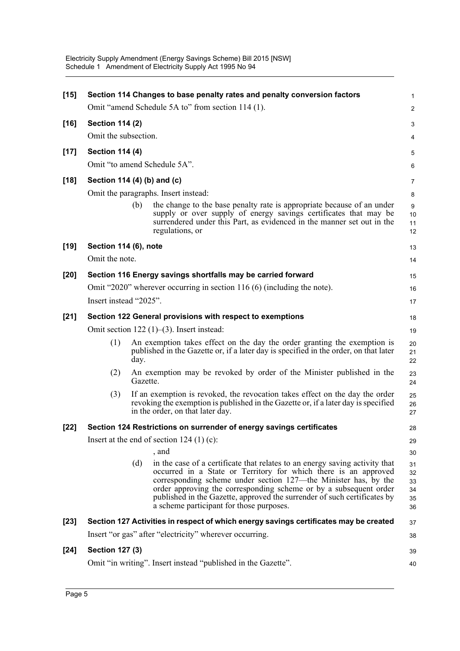| $[15]$ |                                                |                             | Section 114 Changes to base penalty rates and penalty conversion factors<br>Omit "amend Schedule 5A to" from section 114 (1).                                                                                                                                                                                                                                                                                  | $\mathbf{1}$<br>$\overline{2}$   |  |  |
|--------|------------------------------------------------|-----------------------------|----------------------------------------------------------------------------------------------------------------------------------------------------------------------------------------------------------------------------------------------------------------------------------------------------------------------------------------------------------------------------------------------------------------|----------------------------------|--|--|
|        |                                                |                             |                                                                                                                                                                                                                                                                                                                                                                                                                |                                  |  |  |
| $[16]$ | <b>Section 114 (2)</b><br>Omit the subsection. |                             |                                                                                                                                                                                                                                                                                                                                                                                                                | 3                                |  |  |
|        |                                                |                             |                                                                                                                                                                                                                                                                                                                                                                                                                | 4                                |  |  |
| $[17]$ | <b>Section 114 (4)</b>                         |                             |                                                                                                                                                                                                                                                                                                                                                                                                                | 5                                |  |  |
|        |                                                |                             | Omit "to amend Schedule 5A".                                                                                                                                                                                                                                                                                                                                                                                   | 6                                |  |  |
| $[18]$ |                                                | Section 114 (4) (b) and (c) |                                                                                                                                                                                                                                                                                                                                                                                                                |                                  |  |  |
|        |                                                |                             | Omit the paragraphs. Insert instead:                                                                                                                                                                                                                                                                                                                                                                           | 8                                |  |  |
|        |                                                | (b)                         | the change to the base penalty rate is appropriate because of an under<br>supply or over supply of energy savings certificates that may be<br>surrendered under this Part, as evidenced in the manner set out in the<br>regulations, or                                                                                                                                                                        | 9<br>10<br>11<br>12              |  |  |
| $[19]$ | Section 114 (6), note                          |                             |                                                                                                                                                                                                                                                                                                                                                                                                                | 13                               |  |  |
|        | Omit the note.                                 |                             |                                                                                                                                                                                                                                                                                                                                                                                                                | 14                               |  |  |
| $[20]$ |                                                |                             | Section 116 Energy savings shortfalls may be carried forward                                                                                                                                                                                                                                                                                                                                                   | 15                               |  |  |
|        |                                                |                             | Omit "2020" wherever occurring in section 116 (6) (including the note).                                                                                                                                                                                                                                                                                                                                        | 16                               |  |  |
|        | Insert instead "2025".                         |                             |                                                                                                                                                                                                                                                                                                                                                                                                                | 17                               |  |  |
| $[21]$ |                                                |                             | Section 122 General provisions with respect to exemptions                                                                                                                                                                                                                                                                                                                                                      | 18                               |  |  |
|        |                                                |                             | Omit section $122 (1)–(3)$ . Insert instead:                                                                                                                                                                                                                                                                                                                                                                   | 19                               |  |  |
|        | (1)                                            | day.                        | An exemption takes effect on the day the order granting the exemption is<br>published in the Gazette or, if a later day is specified in the order, on that later                                                                                                                                                                                                                                               | 20<br>21<br>22                   |  |  |
|        | (2)                                            | Gazette.                    | An exemption may be revoked by order of the Minister published in the                                                                                                                                                                                                                                                                                                                                          | 23<br>24                         |  |  |
|        | (3)                                            |                             | If an exemption is revoked, the revocation takes effect on the day the order<br>revoking the exemption is published in the Gazette or, if a later day is specified<br>in the order, on that later day.                                                                                                                                                                                                         | 25<br>26<br>27                   |  |  |
| $[22]$ |                                                |                             | Section 124 Restrictions on surrender of energy savings certificates                                                                                                                                                                                                                                                                                                                                           | 28                               |  |  |
|        |                                                |                             | Insert at the end of section $124 (1) (c)$ :                                                                                                                                                                                                                                                                                                                                                                   | 29                               |  |  |
|        |                                                |                             | , and                                                                                                                                                                                                                                                                                                                                                                                                          | 30                               |  |  |
|        |                                                | (d)                         | in the case of a certificate that relates to an energy saving activity that<br>occurred in a State or Territory for which there is an approved<br>corresponding scheme under section 127—the Minister has, by the<br>order approving the corresponding scheme or by a subsequent order<br>published in the Gazette, approved the surrender of such certificates by<br>a scheme participant for those purposes. | 31<br>32<br>33<br>34<br>35<br>36 |  |  |
| $[23]$ |                                                |                             | Section 127 Activities in respect of which energy savings certificates may be created                                                                                                                                                                                                                                                                                                                          | 37                               |  |  |
|        |                                                |                             | Insert "or gas" after "electricity" wherever occurring.                                                                                                                                                                                                                                                                                                                                                        | 38                               |  |  |
| $[24]$ | <b>Section 127 (3)</b>                         |                             |                                                                                                                                                                                                                                                                                                                                                                                                                | 39                               |  |  |
|        |                                                |                             | Omit "in writing". Insert instead "published in the Gazette".                                                                                                                                                                                                                                                                                                                                                  | 40                               |  |  |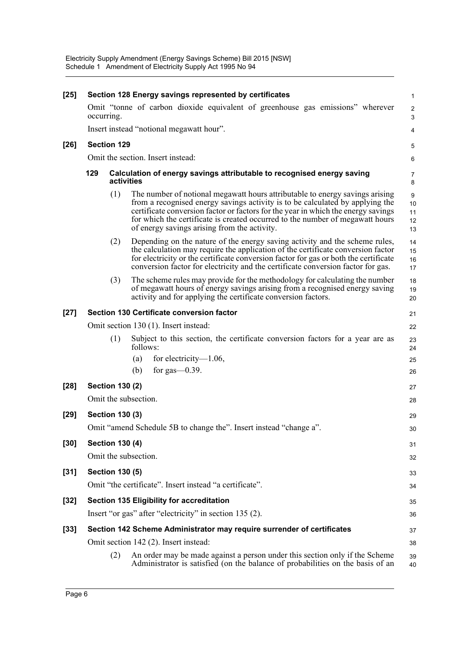| $[25]$ | Section 128 Energy savings represented by certificates |                        |                                                                                                                                                                                                                                                                                                                                                                                     |                               |
|--------|--------------------------------------------------------|------------------------|-------------------------------------------------------------------------------------------------------------------------------------------------------------------------------------------------------------------------------------------------------------------------------------------------------------------------------------------------------------------------------------|-------------------------------|
|        | occurring.                                             |                        | Omit "tonne of carbon dioxide equivalent of greenhouse gas emissions" wherever                                                                                                                                                                                                                                                                                                      | $\overline{2}$<br>$\mathsf 3$ |
|        |                                                        |                        | Insert instead "notional megawatt hour".                                                                                                                                                                                                                                                                                                                                            | 4                             |
| $[26]$ |                                                        | <b>Section 129</b>     |                                                                                                                                                                                                                                                                                                                                                                                     | 5                             |
|        | Omit the section. Insert instead:                      |                        |                                                                                                                                                                                                                                                                                                                                                                                     |                               |
|        | 129                                                    | activities             | Calculation of energy savings attributable to recognised energy saving                                                                                                                                                                                                                                                                                                              | 7<br>8                        |
|        |                                                        | (1)                    | The number of notional megawatt hours attributable to energy savings arising<br>from a recognised energy savings activity is to be calculated by applying the<br>certificate conversion factor or factors for the year in which the energy savings<br>for which the certificate is created occurred to the number of megawatt hours<br>of energy savings arising from the activity. | 9<br>10<br>11<br>12<br>13     |
|        |                                                        | (2)                    | Depending on the nature of the energy saving activity and the scheme rules,<br>the calculation may require the application of the certificate conversion factor<br>for electricity or the certificate conversion factor for gas or both the certificate<br>conversion factor for electricity and the certificate conversion factor for gas.                                         | 14<br>15<br>16<br>17          |
|        |                                                        | (3)                    | The scheme rules may provide for the methodology for calculating the number<br>of megawatt hours of energy savings arising from a recognised energy saving<br>activity and for applying the certificate conversion factors.                                                                                                                                                         | 18<br>19<br>20                |
| $[27]$ |                                                        |                        | Section 130 Certificate conversion factor                                                                                                                                                                                                                                                                                                                                           | 21                            |
|        |                                                        |                        | Omit section 130 (1). Insert instead:                                                                                                                                                                                                                                                                                                                                               | 22                            |
|        |                                                        | (1)                    | Subject to this section, the certificate conversion factors for a year are as<br>follows:                                                                                                                                                                                                                                                                                           | 23<br>24                      |
|        |                                                        |                        | for electricity— $1.06$ ,<br>(a)                                                                                                                                                                                                                                                                                                                                                    | 25                            |
|        |                                                        |                        | for gas $-0.39$ .<br>(b)                                                                                                                                                                                                                                                                                                                                                            | 26                            |
| $[28]$ |                                                        | <b>Section 130 (2)</b> |                                                                                                                                                                                                                                                                                                                                                                                     | 27                            |
|        |                                                        |                        | Omit the subsection.                                                                                                                                                                                                                                                                                                                                                                | 28                            |
| $[29]$ | <b>Section 130 (3)</b>                                 |                        |                                                                                                                                                                                                                                                                                                                                                                                     |                               |
|        |                                                        |                        | Omit "amend Schedule 5B to change the". Insert instead "change a".                                                                                                                                                                                                                                                                                                                  | 30                            |
| $[30]$ |                                                        | <b>Section 130 (4)</b> |                                                                                                                                                                                                                                                                                                                                                                                     | 31                            |
|        |                                                        |                        | Omit the subsection.                                                                                                                                                                                                                                                                                                                                                                | 32                            |
| $[31]$ |                                                        | <b>Section 130 (5)</b> |                                                                                                                                                                                                                                                                                                                                                                                     | 33                            |
|        |                                                        |                        | Omit "the certificate". Insert instead "a certificate".                                                                                                                                                                                                                                                                                                                             | 34                            |
| $[32]$ |                                                        |                        | <b>Section 135 Eligibility for accreditation</b>                                                                                                                                                                                                                                                                                                                                    | 35                            |
|        |                                                        |                        | Insert "or gas" after "electricity" in section 135 (2).                                                                                                                                                                                                                                                                                                                             | 36                            |
| $[33]$ |                                                        |                        | Section 142 Scheme Administrator may require surrender of certificates                                                                                                                                                                                                                                                                                                              | 37                            |
|        |                                                        |                        | Omit section 142 (2). Insert instead:                                                                                                                                                                                                                                                                                                                                               | 38                            |
|        |                                                        | (2)                    | An order may be made against a person under this section only if the Scheme<br>Administrator is satisfied (on the balance of probabilities on the basis of an                                                                                                                                                                                                                       | 39<br>40                      |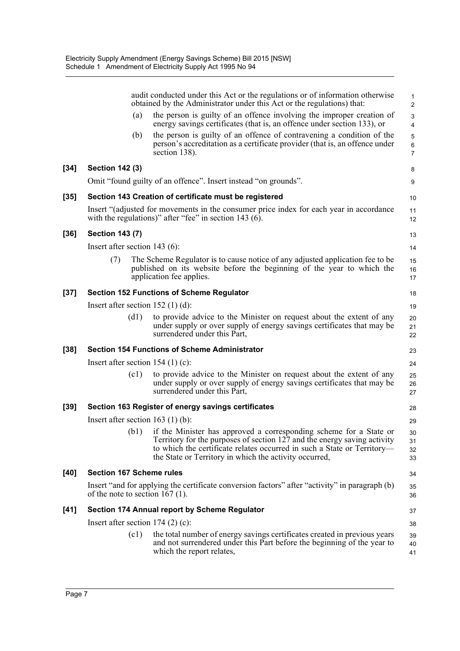|        |                                                      |      | audit conducted under this Act or the regulations or of information otherwise<br>obtained by the Administrator under this Act or the regulations) that:                                                                                                                             | $\mathbf{1}$<br>2        |  |  |
|--------|------------------------------------------------------|------|-------------------------------------------------------------------------------------------------------------------------------------------------------------------------------------------------------------------------------------------------------------------------------------|--------------------------|--|--|
|        |                                                      | (a)  | the person is guilty of an offence involving the improper creation of<br>energy savings certificates (that is, an offence under section 133), or                                                                                                                                    | 3<br>4                   |  |  |
|        |                                                      | (b)  | the person is guilty of an offence of contravening a condition of the<br>person's accreditation as a certificate provider (that is, an offence under<br>section 138).                                                                                                               | 5<br>6<br>$\overline{7}$ |  |  |
| $[34]$ | <b>Section 142 (3)</b>                               |      |                                                                                                                                                                                                                                                                                     | 8                        |  |  |
|        |                                                      |      | Omit "found guilty of an offence". Insert instead "on grounds".                                                                                                                                                                                                                     | 9                        |  |  |
| $[35]$ |                                                      |      | Section 143 Creation of certificate must be registered                                                                                                                                                                                                                              | 10                       |  |  |
|        |                                                      |      | Insert "(adjusted for movements in the consumer price index for each year in accordance<br>with the regulations)" after "fee" in section 143 $(6)$ .                                                                                                                                | 11<br>12                 |  |  |
| $[36]$ | <b>Section 143 (7)</b>                               |      |                                                                                                                                                                                                                                                                                     | 13                       |  |  |
|        | Insert after section 143 $(6)$ :                     |      |                                                                                                                                                                                                                                                                                     | 14                       |  |  |
|        | (7)                                                  |      | The Scheme Regulator is to cause notice of any adjusted application fee to be<br>published on its website before the beginning of the year to which the<br>application fee applies.                                                                                                 | 15<br>16<br>17           |  |  |
| $[37]$ |                                                      |      | <b>Section 152 Functions of Scheme Regulator</b>                                                                                                                                                                                                                                    | 18                       |  |  |
|        | Insert after section 152 $(1)$ (d):<br>19            |      |                                                                                                                                                                                                                                                                                     |                          |  |  |
|        |                                                      | (d1) | to provide advice to the Minister on request about the extent of any<br>under supply or over supply of energy savings certificates that may be<br>surrendered under this Part,                                                                                                      | 20<br>21<br>22           |  |  |
| $[38]$ |                                                      |      | <b>Section 154 Functions of Scheme Administrator</b>                                                                                                                                                                                                                                | 23                       |  |  |
|        |                                                      |      | Insert after section $154$ (1) (c):                                                                                                                                                                                                                                                 | 24                       |  |  |
|        |                                                      | (c1) | to provide advice to the Minister on request about the extent of any<br>under supply or over supply of energy savings certificates that may be<br>surrendered under this Part,                                                                                                      | 25<br>26<br>27           |  |  |
| $[39]$ |                                                      |      | Section 163 Register of energy savings certificates                                                                                                                                                                                                                                 | 28                       |  |  |
|        |                                                      |      | Insert after section $163$ (1) (b):                                                                                                                                                                                                                                                 | 29                       |  |  |
|        |                                                      | (b1) | if the Minister has approved a corresponding scheme for a State or<br>Territory for the purposes of section 127 and the energy saving activity<br>to which the certificate relates occurred in such a State or Territory—<br>the State or Territory in which the activity occurred, | 30<br>31<br>32<br>33     |  |  |
| [40]   | <b>Section 167 Scheme rules</b>                      |      |                                                                                                                                                                                                                                                                                     |                          |  |  |
|        | of the note to section 167 $(1)$ .                   |      | Insert "and for applying the certificate conversion factors" after "activity" in paragraph (b)                                                                                                                                                                                      | 35<br>36                 |  |  |
| $[41]$ | <b>Section 174 Annual report by Scheme Regulator</b> |      |                                                                                                                                                                                                                                                                                     |                          |  |  |
|        |                                                      |      | Insert after section $174(2)(c)$ :                                                                                                                                                                                                                                                  | 38                       |  |  |
|        |                                                      | (c1) | the total number of energy savings certificates created in previous years<br>and not surrendered under this Part before the beginning of the year to<br>which the report relates,                                                                                                   | 39<br>40<br>41           |  |  |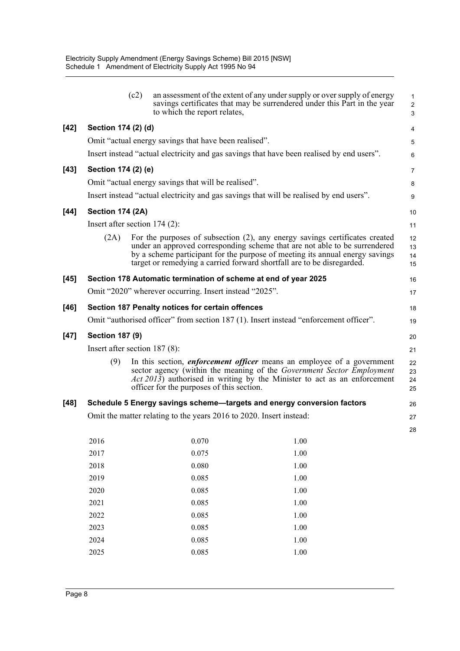|        |                                                                     | (c2) | to which the report relates,                                    | an assessment of the extent of any under supply or over supply of energy<br>savings certificates that may be surrendered under this Part in the year                                                                                                                                                                   | $\mathbf{1}$<br>$\overline{2}$<br>3 |
|--------|---------------------------------------------------------------------|------|-----------------------------------------------------------------|------------------------------------------------------------------------------------------------------------------------------------------------------------------------------------------------------------------------------------------------------------------------------------------------------------------------|-------------------------------------|
| $[42]$ | Section 174 (2) (d)                                                 |      |                                                                 |                                                                                                                                                                                                                                                                                                                        | 4                                   |
|        |                                                                     |      | Omit "actual energy savings that have been realised".           |                                                                                                                                                                                                                                                                                                                        | 5                                   |
|        |                                                                     |      |                                                                 | Insert instead "actual electricity and gas savings that have been realised by end users".                                                                                                                                                                                                                              | 6                                   |
| $[43]$ | Section 174 (2) (e)                                                 |      |                                                                 |                                                                                                                                                                                                                                                                                                                        | 7                                   |
|        |                                                                     |      | Omit "actual energy savings that will be realised".             |                                                                                                                                                                                                                                                                                                                        | 8                                   |
|        |                                                                     |      |                                                                 | Insert instead "actual electricity and gas savings that will be realised by end users".                                                                                                                                                                                                                                | 9                                   |
| $[44]$ | <b>Section 174 (2A)</b>                                             |      |                                                                 |                                                                                                                                                                                                                                                                                                                        | 10                                  |
|        | Insert after section 174 (2):                                       |      |                                                                 |                                                                                                                                                                                                                                                                                                                        | 11                                  |
|        | (2A)                                                                |      |                                                                 | For the purposes of subsection $(2)$ , any energy savings certificates created<br>under an approved corresponding scheme that are not able to be surrendered<br>by a scheme participant for the purpose of meeting its annual energy savings<br>target or remedying a carried forward shortfall are to be disregarded. | 12<br>13<br>14<br>15                |
| $[45]$ |                                                                     |      | Section 178 Automatic termination of scheme at end of year 2025 |                                                                                                                                                                                                                                                                                                                        | 16                                  |
|        |                                                                     |      | Omit "2020" wherever occurring. Insert instead "2025".          |                                                                                                                                                                                                                                                                                                                        | 17                                  |
| $[46]$ |                                                                     |      | Section 187 Penalty notices for certain offences                |                                                                                                                                                                                                                                                                                                                        | 18                                  |
|        |                                                                     |      |                                                                 | Omit "authorised officer" from section 187 (1). Insert instead "enforcement officer".                                                                                                                                                                                                                                  | 19                                  |
| $[47]$ | <b>Section 187 (9)</b>                                              |      |                                                                 |                                                                                                                                                                                                                                                                                                                        | 20                                  |
|        | Insert after section $187(8)$ :                                     |      |                                                                 |                                                                                                                                                                                                                                                                                                                        | 21                                  |
|        | (9)                                                                 |      | officer for the purposes of this section.                       | In this section, <i>enforcement officer</i> means an employee of a government<br>sector agency (within the meaning of the Government Sector Employment<br>Act 2013) authorised in writing by the Minister to act as an enforcement                                                                                     | 22<br>23<br>24<br>25                |
| $[48]$ |                                                                     |      |                                                                 | Schedule 5 Energy savings scheme—targets and energy conversion factors                                                                                                                                                                                                                                                 | 26                                  |
|        | Omit the matter relating to the years 2016 to 2020. Insert instead: |      |                                                                 |                                                                                                                                                                                                                                                                                                                        |                                     |
|        |                                                                     |      |                                                                 |                                                                                                                                                                                                                                                                                                                        | 28                                  |
|        | 2016                                                                |      | 0.070                                                           | 1.00                                                                                                                                                                                                                                                                                                                   |                                     |
|        | 2017                                                                |      | 0.075                                                           | 1.00                                                                                                                                                                                                                                                                                                                   |                                     |
|        | 2018                                                                |      | 0.080                                                           | 1.00                                                                                                                                                                                                                                                                                                                   |                                     |
|        | 2019                                                                |      | 0.085                                                           | 1.00                                                                                                                                                                                                                                                                                                                   |                                     |
|        | 2020<br>2021                                                        |      | 0.085<br>0.085                                                  | 1.00<br>1.00                                                                                                                                                                                                                                                                                                           |                                     |
|        | 2022                                                                |      | 0.085                                                           | 1.00                                                                                                                                                                                                                                                                                                                   |                                     |
|        | 2023                                                                |      | 0.085                                                           | $1.00\,$                                                                                                                                                                                                                                                                                                               |                                     |
|        |                                                                     |      |                                                                 |                                                                                                                                                                                                                                                                                                                        |                                     |

2024 0.085 1.00 2025 0.085 1.00